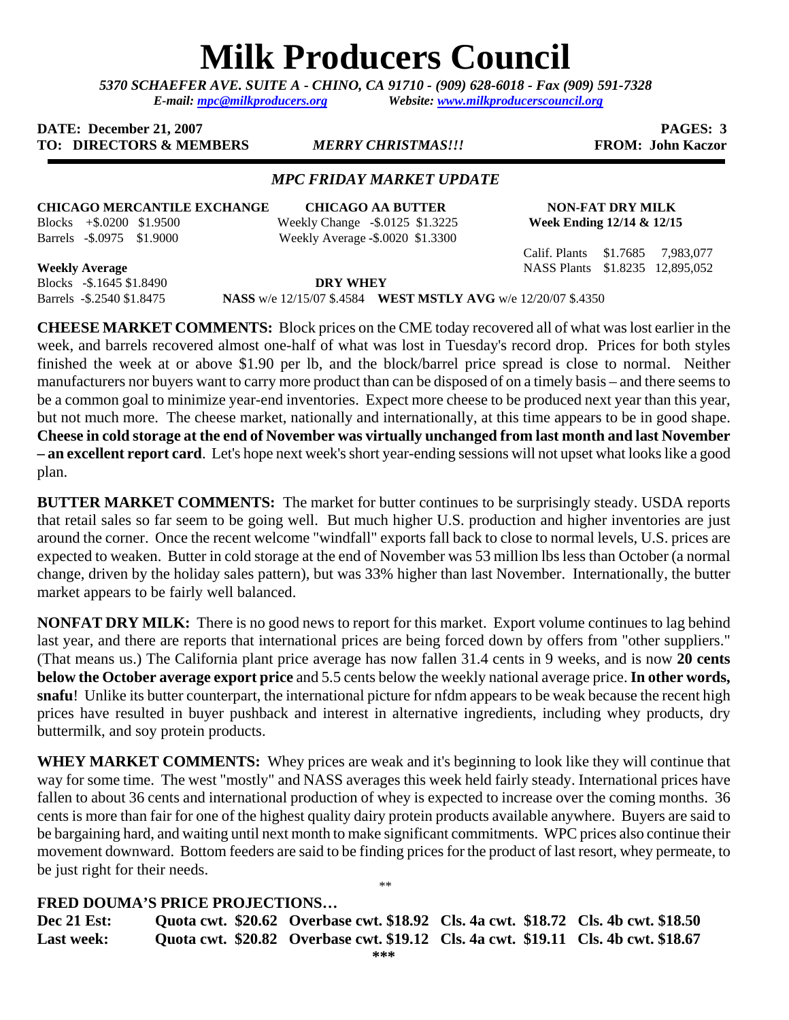# **Milk Producers Council**

*5370 SCHAEFER AVE. SUITE A* **-** *CHINO, CA 91710 - (909) 628-6018 - Fax (909) 591-7328 E-mail: [mpc@milkproducers.org](mailto:mpc@milkproducers.org) Website: [www.milkproducerscouncil.org](http://www.milkproducerscouncil.org/)* 

#### **DATE:** December 21, 2007 **PAGES:** 3 **TO: DIRECTORS & MEMBERS** *MERRY CHRISTMAS!!!* **FROM: John Kaczor**

#### *MPC FRIDAY MARKET UPDATE*

## **CHICAGO MERCANTILE EXCHANGE CHICAGO AA BUTTER NON-FAT DRY MILK**

Blocks +\$.0200 \$1.9500 Weekly Change -\$.0125 \$1.3225 **Week Ending 12/14 & 12/15**  Barrels -\$.0975 \$1.9000 Weekly Average **-**\$.0020 \$1.3300

Calif. Plants \$1.7685 7,983,077

**Weekly Average** NASS Plants \$1.8235 12,895,052

Blocks -\$.1645 \$1.8490 **DRY WHEY**<br>Barrels -\$.2540 \$1.8475 **NASS** w/e 12/15/07 \$.4584 **W** 

**NASS** w/e 12/15/07 \$.4584 **WEST MSTLY AVG** w/e 12/20/07 \$.4350

**CHEESE MARKET COMMENTS:** Block prices on the CME today recovered all of what was lost earlier in the week, and barrels recovered almost one-half of what was lost in Tuesday's record drop. Prices for both styles finished the week at or above \$1.90 per lb, and the block/barrel price spread is close to normal. Neither manufacturers nor buyers want to carry more product than can be disposed of on a timely basis – and there seems to be a common goal to minimize year-end inventories. Expect more cheese to be produced next year than this year, but not much more. The cheese market, nationally and internationally, at this time appears to be in good shape. **Cheese in cold storage at the end of November was virtually unchanged from last month and last November – an excellent report card**. Let's hope next week's short year-ending sessions will not upset what looks like a good plan.

**BUTTER MARKET COMMENTS:** The market for butter continues to be surprisingly steady. USDA reports that retail sales so far seem to be going well. But much higher U.S. production and higher inventories are just around the corner. Once the recent welcome "windfall" exports fall back to close to normal levels, U.S. prices are expected to weaken. Butter in cold storage at the end of November was 53 million lbs less than October (a normal change, driven by the holiday sales pattern), but was 33% higher than last November. Internationally, the butter market appears to be fairly well balanced.

**NONFAT DRY MILK:** There is no good news to report for this market. Export volume continues to lag behind last year, and there are reports that international prices are being forced down by offers from "other suppliers." (That means us.) The California plant price average has now fallen 31.4 cents in 9 weeks, and is now **20 cents below the October average export price** and 5.5 cents below the weekly national average price. **In other words, snafu**! Unlike its butter counterpart, the international picture for nfdm appears to be weak because the recent high prices have resulted in buyer pushback and interest in alternative ingredients, including whey products, dry buttermilk, and soy protein products.

**WHEY MARKET COMMENTS:** Whey prices are weak and it's beginning to look like they will continue that way for some time. The west "mostly" and NASS averages this week held fairly steady. International prices have fallen to about 36 cents and international production of whey is expected to increase over the coming months. 36 cents is more than fair for one of the highest quality dairy protein products available anywhere. Buyers are said to be bargaining hard, and waiting until next month to make significant commitments. WPC prices also continue their movement downward. Bottom feeders are said to be finding prices for the product of last resort, whey permeate, to be just right for their needs. \*\*

### **FRED DOUMA'S PRICE PROJECTIONS…**

**Dec 21 Est: Quota cwt. \$20.62 Overbase cwt. \$18.92 Cls. 4a cwt. \$18.72 Cls. 4b cwt. \$18.50 Last week: Quota cwt. \$20.82 Overbase cwt. \$19.12 Cls. 4a cwt. \$19.11 Cls. 4b cwt. \$18.67**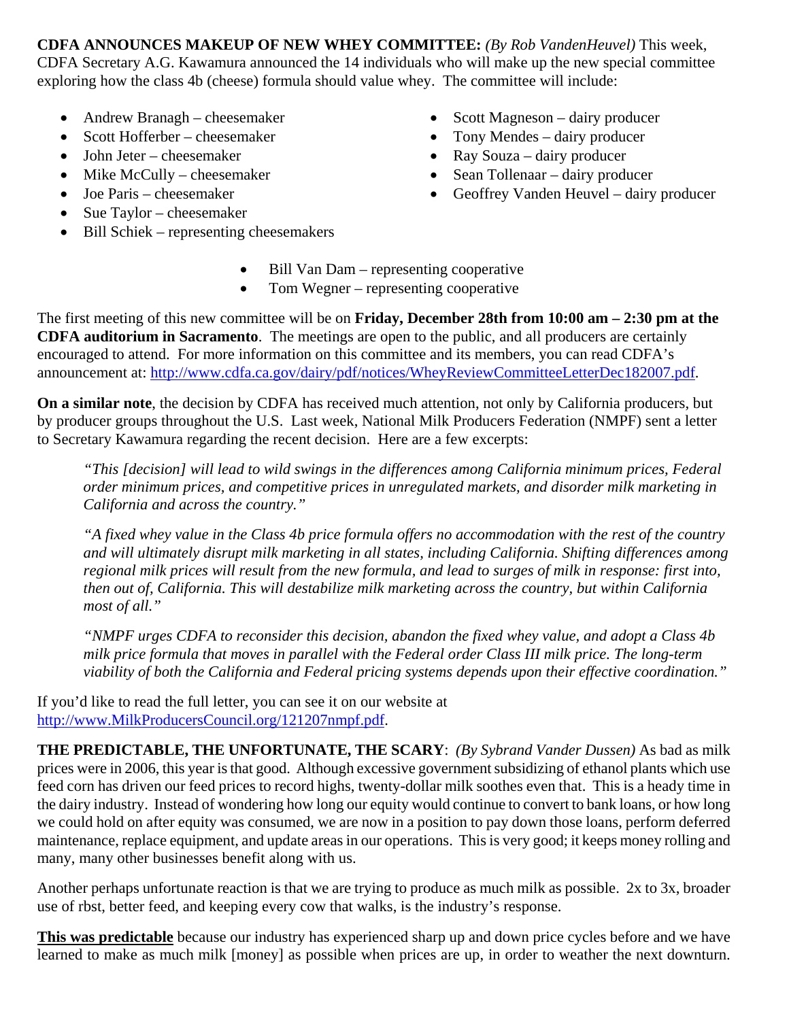**CDFA ANNOUNCES MAKEUP OF NEW WHEY COMMITTEE:** *(By Rob VandenHeuvel)* This week, CDFA Secretary A.G. Kawamura announced the 14 individuals who will make up the new special committee exploring how the class 4b (cheese) formula should value whey. The committee will include:

- Andrew Branagh cheesemaker
- Scott Hofferber cheesemaker
- John Jeter cheesemaker
- Mike McCully cheesemaker
- Joe Paris cheesemaker
- Sue Taylor cheesemaker
- Bill Schiek representing cheesemakers
- Scott Magneson dairy producer
- Tony Mendes dairy producer
- Ray Souza dairy producer
- Sean Tollenaar dairy producer
- Geoffrey Vanden Heuvel dairy producer
- Bill Van Dam representing cooperative
- Tom Wegner representing cooperative

The first meeting of this new committee will be on **Friday, December 28th from 10:00 am – 2:30 pm at the CDFA auditorium in Sacramento**. The meetings are open to the public, and all producers are certainly encouraged to attend. For more information on this committee and its members, you can read CDFA's announcement at: [http://www.cdfa.ca.gov/dairy/pdf/notices/WheyReviewCommitteeLetterDec182007.pdf.](http://www.cdfa.ca.gov/dairy/pdf/notices/WheyReviewCommitteeLetterDec182007.pdf)

**On a similar note**, the decision by CDFA has received much attention, not only by California producers, but by producer groups throughout the U.S. Last week, National Milk Producers Federation (NMPF) sent a letter to Secretary Kawamura regarding the recent decision. Here are a few excerpts:

*"This [decision] will lead to wild swings in the differences among California minimum prices, Federal order minimum prices, and competitive prices in unregulated markets, and disorder milk marketing in California and across the country."* 

*"A fixed whey value in the Class 4b price formula offers no accommodation with the rest of the country and will ultimately disrupt milk marketing in all states, including California. Shifting differences among regional milk prices will result from the new formula, and lead to surges of milk in response: first into, then out of, California. This will destabilize milk marketing across the country, but within California most of all."* 

*"NMPF urges CDFA to reconsider this decision, abandon the fixed whey value, and adopt a Class 4b milk price formula that moves in parallel with the Federal order Class III milk price. The long-term viability of both the California and Federal pricing systems depends upon their effective coordination."* 

If you'd like to read the full letter, you can see it on our website at [http://www.MilkProducersCouncil.org/121207nmpf.pdf.](http://www.milkproducerscouncil.org/121207nmpf.pdf)

**THE PREDICTABLE, THE UNFORTUNATE, THE SCARY**: *(By Sybrand Vander Dussen)* As bad as milk prices were in 2006, this year is that good. Although excessive government subsidizing of ethanol plants which use feed corn has driven our feed prices to record highs, twenty-dollar milk soothes even that. This is a heady time in the dairy industry. Instead of wondering how long our equity would continue to convert to bank loans, or how long we could hold on after equity was consumed, we are now in a position to pay down those loans, perform deferred maintenance, replace equipment, and update areas in our operations. This is very good; it keeps money rolling and many, many other businesses benefit along with us.

Another perhaps unfortunate reaction is that we are trying to produce as much milk as possible. 2x to 3x, broader use of rbst, better feed, and keeping every cow that walks, is the industry's response.

**This was predictable** because our industry has experienced sharp up and down price cycles before and we have learned to make as much milk [money] as possible when prices are up, in order to weather the next downturn.